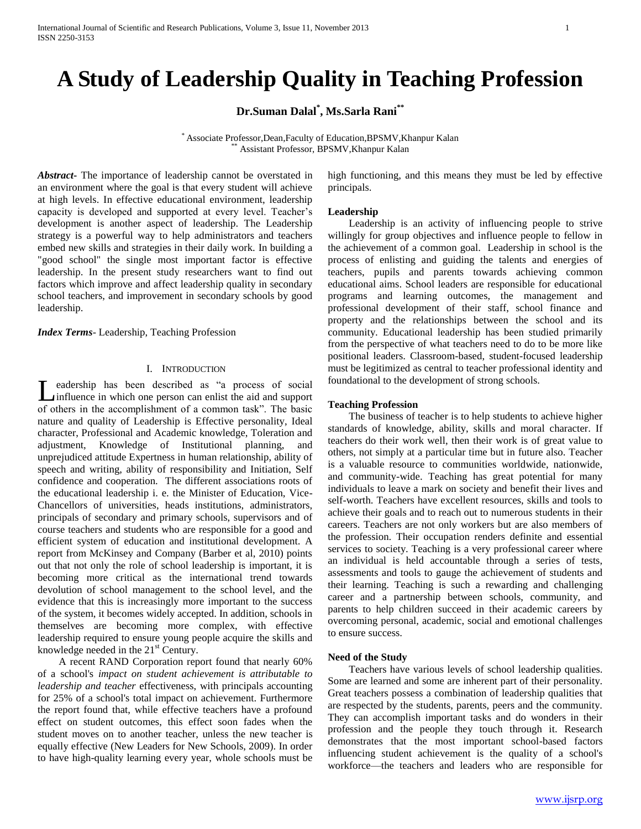# **A Study of Leadership Quality in Teaching Profession**

**Dr.Suman Dalal\* , Ms.Sarla Rani\*\***

\* Associate Professor,Dean,Faculty of Education,BPSMV,Khanpur Kalan Assistant Professor, BPSMV, Khanpur Kalan

*Abstract***-** The importance of leadership cannot be overstated in an environment where the goal is that every student will achieve at high levels. In effective educational environment, leadership capacity is developed and supported at every level. Teacher's development is another aspect of leadership. The Leadership strategy is a powerful way to help administrators and teachers embed new skills and strategies in their daily work. In building a "good school" the single most important factor is effective leadership. In the present study researchers want to find out factors which improve and affect leadership quality in secondary school teachers, and improvement in secondary schools by good leadership.

*Index Terms*- Leadership, Teaching Profession

## I. INTRODUCTION

Leadership has been described as "a process of social<br>
leadership in which one person can enlist the aid and support influence in which one person can enlist the aid and support of others in the accomplishment of a common task". The basic nature and quality of Leadership is Effective personality, Ideal character, Professional and Academic knowledge, Toleration and adjustment, Knowledge of Institutional planning, and unprejudiced attitude Expertness in human relationship, ability of speech and writing, ability of responsibility and Initiation, Self confidence and cooperation. The different associations roots of the educational leadership i. e. the Minister of Education, Vice-Chancellors of universities, heads institutions, administrators, principals of secondary and primary schools, supervisors and of course teachers and students who are responsible for a good and efficient system of education and institutional development. A report from McKinsey and Company (Barber et al, 2010) points out that not only the role of school leadership is important, it is becoming more critical as the international trend towards devolution of school management to the school level, and the evidence that this is increasingly more important to the success of the system, it becomes widely accepted. In addition, schools in themselves are becoming more complex, with effective leadership required to ensure young people acquire the skills and knowledge needed in the  $21<sup>st</sup>$  Century.

 A recent RAND Corporation report found that nearly 60% of a school's *impact on student achievement is attributable to leadership and teacher* effectiveness, with principals accounting for 25% of a school's total impact on achievement. Furthermore the report found that, while effective teachers have a profound effect on student outcomes, this effect soon fades when the student moves on to another teacher, unless the new teacher is equally effective (New Leaders for New Schools, 2009). In order to have high-quality learning every year, whole schools must be high functioning, and this means they must be led by effective principals.

#### **Leadership**

 Leadership is an activity of influencing people to strive willingly for group objectives and influence people to fellow in the achievement of a common goal. Leadership in school is the process of enlisting and guiding the talents and energies of teachers, pupils and parents towards achieving common educational aims. School leaders are responsible for educational programs and learning outcomes, the management and professional development of their staff, school finance and property and the relationships between the school and its community. Educational leadership has been studied primarily from the perspective of what teachers need to do to be more like positional leaders. Classroom-based, student-focused leadership must be legitimized as central to teacher professional identity and foundational to the development of strong schools.

#### **Teaching Profession**

 The business of teacher is to help students to achieve higher standards of knowledge, ability, skills and moral character. If teachers do their work well, then their work is of great value to others, not simply at a particular time but in future also. Teacher is a valuable resource to communities worldwide, nationwide, and community-wide. Teaching has great potential for many individuals to leave a mark on society and benefit their lives and self-worth. Teachers have excellent resources, skills and tools to achieve their goals and to reach out to numerous students in their careers. Teachers are not only workers but are also members of the profession. Their occupation renders definite and essential services to society. Teaching is a very professional career where an individual is held accountable through a series of tests, assessments and tools to gauge the achievement of students and their learning. Teaching is such a rewarding and challenging career and a partnership between schools, community, and parents to help children succeed in their academic careers by overcoming personal, academic, social and emotional challenges to ensure success.

#### **Need of the Study**

 Teachers have various levels of school leadership qualities. Some are learned and some are inherent part of their personality. Great teachers possess a combination of leadership qualities that are respected by the students, parents, peers and the community. They can accomplish important tasks and do wonders in their profession and the people they touch through it. Research demonstrates that the most important school-based factors influencing student achievement is the quality of a school's workforce—the teachers and leaders who are responsible for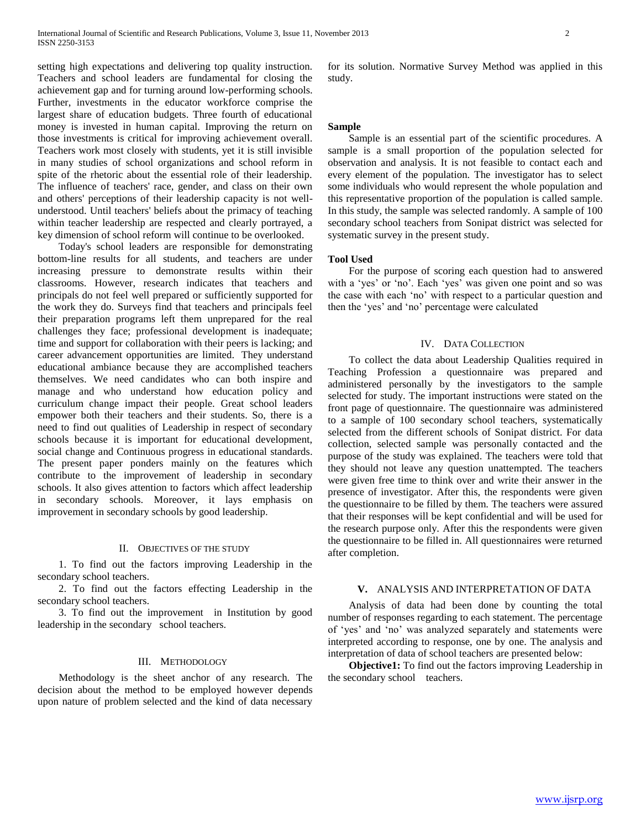setting high expectations and delivering top quality instruction. Teachers and school leaders are fundamental for closing the achievement gap and for turning around low-performing schools. Further, investments in the educator workforce comprise the largest share of education budgets. Three fourth of educational money is invested in human capital. Improving the return on those investments is critical for improving achievement overall. Teachers work most closely with students, yet it is still invisible in many studies of school organizations and school reform in spite of the rhetoric about the essential role of their leadership. The influence of teachers' race, gender, and class on their own and others' perceptions of their leadership capacity is not wellunderstood. Until teachers' beliefs about the primacy of teaching within teacher leadership are respected and clearly portrayed, a key dimension of school reform will continue to be overlooked.

 Today's school leaders are responsible for demonstrating bottom-line results for all students, and teachers are under increasing pressure to demonstrate results within their classrooms. However, research indicates that teachers and principals do not feel well prepared or sufficiently supported for the work they do. Surveys find that teachers and principals feel their preparation programs left them unprepared for the real challenges they face; professional development is inadequate; time and support for collaboration with their peers is lacking; and career advancement opportunities are limited. They understand educational ambiance because they are accomplished teachers themselves. We need candidates who can both inspire and manage and who understand how education policy and curriculum change impact their people. Great school leaders empower both their teachers and their students. So, there is a need to find out qualities of Leadership in respect of secondary schools because it is important for educational development, social change and Continuous progress in educational standards. The present paper ponders mainly on the features which contribute to the improvement of leadership in secondary schools. It also gives attention to factors which affect leadership in secondary schools. Moreover, it lays emphasis on improvement in secondary schools by good leadership.

#### II. OBJECTIVES OF THE STUDY

 1. To find out the factors improving Leadership in the secondary school teachers.

 2. To find out the factors effecting Leadership in the secondary school teachers.

 3. To find out the improvement in Institution by good leadership in the secondary school teachers.

#### III. METHODOLOGY

 Methodology is the sheet anchor of any research. The decision about the method to be employed however depends upon nature of problem selected and the kind of data necessary

for its solution. Normative Survey Method was applied in this study.

#### **Sample**

 Sample is an essential part of the scientific procedures. A sample is a small proportion of the population selected for observation and analysis. It is not feasible to contact each and every element of the population. The investigator has to select some individuals who would represent the whole population and this representative proportion of the population is called sample. In this study, the sample was selected randomly. A sample of 100 secondary school teachers from Sonipat district was selected for systematic survey in the present study.

### **Tool Used**

 For the purpose of scoring each question had to answered with a 'yes' or 'no'. Each 'yes' was given one point and so was the case with each 'no' with respect to a particular question and then the 'yes' and 'no' percentage were calculated

#### IV. DATA COLLECTION

 To collect the data about Leadership Qualities required in Teaching Profession a questionnaire was prepared and administered personally by the investigators to the sample selected for study. The important instructions were stated on the front page of questionnaire. The questionnaire was administered to a sample of 100 secondary school teachers, systematically selected from the different schools of Sonipat district. For data collection, selected sample was personally contacted and the purpose of the study was explained. The teachers were told that they should not leave any question unattempted. The teachers were given free time to think over and write their answer in the presence of investigator. After this, the respondents were given the questionnaire to be filled by them. The teachers were assured that their responses will be kept confidential and will be used for the research purpose only. After this the respondents were given the questionnaire to be filled in. All questionnaires were returned after completion.

## **V.** ANALYSIS AND INTERPRETATION OF DATA

 Analysis of data had been done by counting the total number of responses regarding to each statement. The percentage of 'yes' and 'no' was analyzed separately and statements were interpreted according to response, one by one. The analysis and interpretation of data of school teachers are presented below:

 **Objective1:** To find out the factors improving Leadership in the secondary school teachers.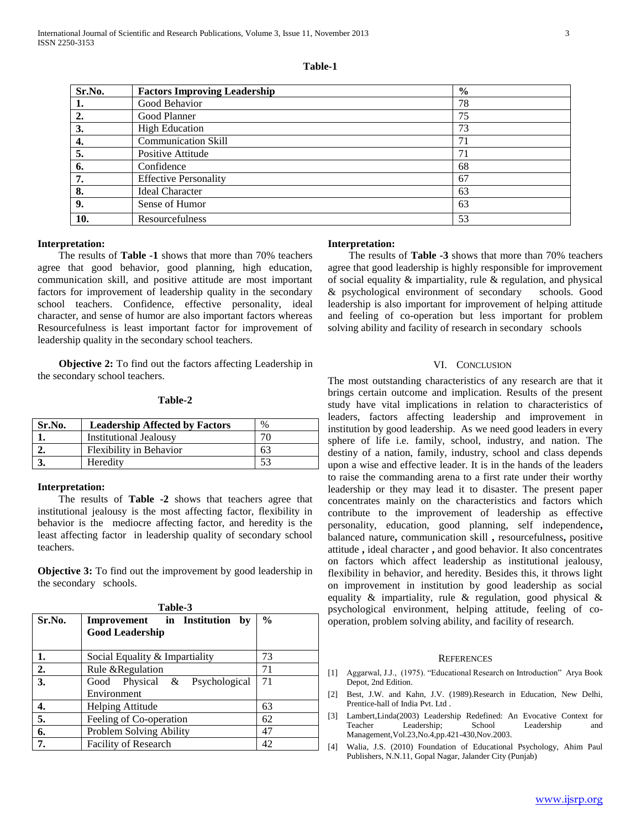| Sr.No. | <b>Factors Improving Leadership</b> | $\frac{6}{9}$ |
|--------|-------------------------------------|---------------|
| 1.     | Good Behavior                       | 78            |
| 2.     | Good Planner                        | 75            |
| 3.     | <b>High Education</b>               | 73            |
| 4.     | <b>Communication Skill</b>          | 71            |
| 5.     | Positive Attitude                   | 71            |
| 6.     | Confidence                          | 68            |
| 7.     | <b>Effective Personality</b>        | 67            |
| 8.     | <b>Ideal Character</b>              | 63            |
| 9.     | Sense of Humor                      | 63            |
| 10.    | Resourcefulness                     | 53            |

#### **Table-1**

#### **Interpretation:**

 The results of **Table -1** shows that more than 70% teachers agree that good behavior, good planning, high education, communication skill, and positive attitude are most important factors for improvement of leadership quality in the secondary school teachers. Confidence, effective personality, ideal character, and sense of humor are also important factors whereas Resourcefulness is least important factor for improvement of leadership quality in the secondary school teachers.

 **Objective 2:** To find out the factors affecting Leadership in the secondary school teachers.

#### **Table-2**

| Sr.No. | <b>Leadership Affected by Factors</b> | $\%$ |
|--------|---------------------------------------|------|
|        | <b>Institutional Jealousy</b>         | 76   |
|        | <b>Flexibility in Behavior</b>        | 63   |
|        | Heredity                              |      |

### **Interpretation:**

 The results of **Table -2** shows that teachers agree that institutional jealousy is the most affecting factor, flexibility in behavior is the mediocre affecting factor, and heredity is the least affecting factor in leadership quality of secondary school teachers.

**Objective 3:** To find out the improvement by good leadership in the secondary schools.

| Table-3 |                                                                   |               |  |  |
|---------|-------------------------------------------------------------------|---------------|--|--|
| Sr.No.  | <b>Improvement</b> in Institution<br>by<br><b>Good Leadership</b> | $\frac{0}{0}$ |  |  |
| 1.      | Social Equality & Impartiality                                    | 73            |  |  |
| 2.      | Rule & Regulation                                                 | 71            |  |  |
| 3.      | Good Physical & Psychological<br>Environment                      | 71            |  |  |
| 4.      | Helping Attitude                                                  | 63            |  |  |
| 5.      | Feeling of Co-operation                                           | 62            |  |  |
| 6.      | Problem Solving Ability                                           | 47            |  |  |
| 7.      | Facility of Research                                              | 42            |  |  |

#### **Interpretation:**

 The results of **Table -3** shows that more than 70% teachers agree that good leadership is highly responsible for improvement of social equality & impartiality, rule & regulation, and physical & psychological environment of secondary schools. Good leadership is also important for improvement of helping attitude and feeling of co-operation but less important for problem solving ability and facility of research in secondary schools

#### VI. CONCLUSION

The most outstanding characteristics of any research are that it brings certain outcome and implication. Results of the present study have vital implications in relation to characteristics of leaders, factors affecting leadership and improvement in institution by good leadership. As we need good leaders in every sphere of life i.e. family, school, industry, and nation. The destiny of a nation, family, industry, school and class depends upon a wise and effective leader. It is in the hands of the leaders to raise the commanding arena to a first rate under their worthy leadership or they may lead it to disaster. The present paper concentrates mainly on the characteristics and factors which contribute to the improvement of leadership as effective personality, education, good planning, self independence**,**  balanced nature**,** communication skill **,** resourcefulness**,** positive attitude **,** ideal character **,** and good behavior. It also concentrates on factors which affect leadership as institutional jealousy, flexibility in behavior, and heredity. Besides this, it throws light on improvement in institution by good leadership as social equality & impartiality, rule & regulation, good physical & psychological environment, helping attitude, feeling of cooperation, problem solving ability, and facility of research.

#### **REFERENCES**

- [1] Aggarwal, J.J., (1975). "Educational Research on Introduction" Arya Book Depot, 2nd Edition.
- [2] Best, J.W. and Kahn, J.V. (1989).Research in Education, New Delhi, Prentice-hall of India Pvt. Ltd .
- [3] Lambert,Linda(2003) Leadership Redefined: An Evocative Context for Teacher Leadership; School Leadership and Management,Vol.23,No.4,pp.421-430,Nov.2003.
- [4] Walia, J.S. (2010) Foundation of Educational Psychology, Ahim Paul Publishers, N.N.11, Gopal Nagar, Jalander City (Punjab)